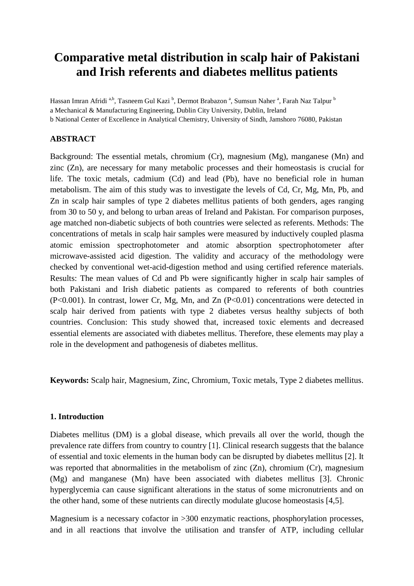# **Comparative metal distribution in scalp hair of Pakistani and Irish referents and diabetes mellitus patients**

Hassan Imran Afridi <sup>a,b</sup>, Tasneem Gul Kazi <sup>b</sup>, Dermot Brabazon <sup>a</sup>, Sumsun Naher <sup>a</sup>, Farah Naz Talpur <sup>b</sup> a Mechanical & Manufacturing Engineering, Dublin City University, Dublin, Ireland b National Center of Excellence in Analytical Chemistry, University of Sindh, Jamshoro 76080, Pakistan

#### **ABSTRACT**

Background: The essential metals, chromium (Cr), magnesium (Mg), manganese (Mn) and zinc (Zn), are necessary for many metabolic processes and their homeostasis is crucial for life. The toxic metals, cadmium (Cd) and lead (Pb), have no beneficial role in human metabolism. The aim of this study was to investigate the levels of Cd, Cr, Mg, Mn, Pb, and Zn in scalp hair samples of type 2 diabetes mellitus patients of both genders, ages ranging from 30 to 50 y, and belong to urban areas of Ireland and Pakistan. For comparison purposes, age matched non-diabetic subjects of both countries were selected as referents. Methods: The concentrations of metals in scalp hair samples were measured by inductively coupled plasma atomic emission spectrophotometer and atomic absorption spectrophotometer after microwave-assisted acid digestion. The validity and accuracy of the methodology were checked by conventional wet-acid-digestion method and using certified reference materials. Results: The mean values of Cd and Pb were significantly higher in scalp hair samples of both Pakistani and Irish diabetic patients as compared to referents of both countries (P<0.001). In contrast, lower Cr, Mg, Mn, and Zn (P<0.01) concentrations were detected in scalp hair derived from patients with type 2 diabetes versus healthy subjects of both countries. Conclusion: This study showed that, increased toxic elements and decreased essential elements are associated with diabetes mellitus. Therefore, these elements may play a role in the development and pathogenesis of diabetes mellitus.

**Keywords:** Scalp hair, Magnesium, Zinc, Chromium, Toxic metals, Type 2 diabetes mellitus.

#### **1. Introduction**

Diabetes mellitus (DM) is a global disease, which prevails all over the world, though the prevalence rate differs from country to country [1]. Clinical research suggests that the balance of essential and toxic elements in the human body can be disrupted by diabetes mellitus [2]. It was reported that abnormalities in the metabolism of zinc (Zn), chromium (Cr), magnesium (Mg) and manganese (Mn) have been associated with diabetes mellitus [3]. Chronic hyperglycemia can cause significant alterations in the status of some micronutrients and on the other hand, some of these nutrients can directly modulate glucose homeostasis [4,5].

Magnesium is a necessary cofactor in >300 enzymatic reactions, phosphorylation processes, and in all reactions that involve the utilisation and transfer of ATP, including cellular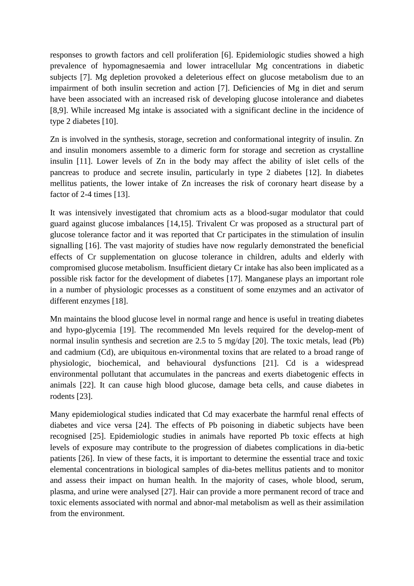responses to growth factors and cell proliferation [6]. Epidemiologic studies showed a high prevalence of hypomagnesaemia and lower intracellular Mg concentrations in diabetic subjects [7]. Mg depletion provoked a deleterious effect on glucose metabolism due to an impairment of both insulin secretion and action [7]. Deficiencies of Mg in diet and serum have been associated with an increased risk of developing glucose intolerance and diabetes [8,9]. While increased Mg intake is associated with a significant decline in the incidence of type 2 diabetes [10].

Zn is involved in the synthesis, storage, secretion and conformational integrity of insulin. Zn and insulin monomers assemble to a dimeric form for storage and secretion as crystalline insulin [11]. Lower levels of Zn in the body may affect the ability of islet cells of the pancreas to produce and secrete insulin, particularly in type 2 diabetes [12]. In diabetes mellitus patients, the lower intake of Zn increases the risk of coronary heart disease by a factor of 2-4 times [13].

It was intensively investigated that chromium acts as a blood-sugar modulator that could guard against glucose imbalances [14,15]. Trivalent Cr was proposed as a structural part of glucose tolerance factor and it was reported that Cr participates in the stimulation of insulin signalling [16]. The vast majority of studies have now regularly demonstrated the beneficial effects of Cr supplementation on glucose tolerance in children, adults and elderly with compromised glucose metabolism. Insufficient dietary Cr intake has also been implicated as a possible risk factor for the development of diabetes [17]. Manganese plays an important role in a number of physiologic processes as a constituent of some enzymes and an activator of different enzymes [18].

Mn maintains the blood glucose level in normal range and hence is useful in treating diabetes and hypo-glycemia [19]. The recommended Mn levels required for the develop-ment of normal insulin synthesis and secretion are 2.5 to 5 mg/day [20]. The toxic metals, lead (Pb) and cadmium (Cd), are ubiquitous en-vironmental toxins that are related to a broad range of physiologic, biochemical, and behavioural dysfunctions [21]. Cd is a widespread environmental pollutant that accumulates in the pancreas and exerts diabetogenic effects in animals [22]. It can cause high blood glucose, damage beta cells, and cause diabetes in rodents [23].

Many epidemiological studies indicated that Cd may exacerbate the harmful renal effects of diabetes and vice versa [24]. The effects of Pb poisoning in diabetic subjects have been recognised [25]. Epidemiologic studies in animals have reported Pb toxic effects at high levels of exposure may contribute to the progression of diabetes complications in dia-betic patients [26]. In view of these facts, it is important to determine the essential trace and toxic elemental concentrations in biological samples of dia-betes mellitus patients and to monitor and assess their impact on human health. In the majority of cases, whole blood, serum, plasma, and urine were analysed [27]. Hair can provide a more permanent record of trace and toxic elements associated with normal and abnor-mal metabolism as well as their assimilation from the environment.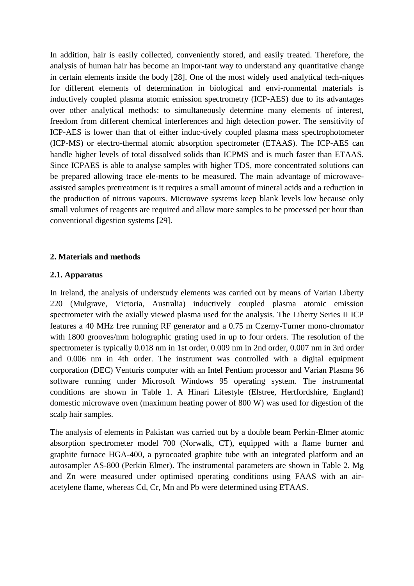In addition, hair is easily collected, conveniently stored, and easily treated. Therefore, the analysis of human hair has become an impor-tant way to understand any quantitative change in certain elements inside the body [28]. One of the most widely used analytical tech-niques for different elements of determination in biological and envi-ronmental materials is inductively coupled plasma atomic emission spectrometry (ICP-AES) due to its advantages over other analytical methods: to simultaneously determine many elements of interest, freedom from different chemical interferences and high detection power. The sensitivity of ICP-AES is lower than that of either induc-tively coupled plasma mass spectrophotometer (ICP-MS) or electro-thermal atomic absorption spectrometer (ETAAS). The ICP-AES can handle higher levels of total dissolved solids than ICPMS and is much faster than ETAAS. Since ICPAES is able to analyse samples with higher TDS, more concentrated solutions can be prepared allowing trace ele-ments to be measured. The main advantage of microwaveassisted samples pretreatment is it requires a small amount of mineral acids and a reduction in the production of nitrous vapours. Microwave systems keep blank levels low because only small volumes of reagents are required and allow more samples to be processed per hour than conventional digestion systems [29].

#### **2. Materials and methods**

#### **2.1. Apparatus**

In Ireland, the analysis of understudy elements was carried out by means of Varian Liberty 220 (Mulgrave, Victoria, Australia) inductively coupled plasma atomic emission spectrometer with the axially viewed plasma used for the analysis. The Liberty Series II ICP features a 40 MHz free running RF generator and a 0.75 m Czerny-Turner mono-chromator with 1800 grooves/mm holographic grating used in up to four orders. The resolution of the spectrometer is typically 0.018 nm in 1st order, 0.009 nm in 2nd order, 0.007 nm in 3rd order and 0.006 nm in 4th order. The instrument was controlled with a digital equipment corporation (DEC) Venturis computer with an Intel Pentium processor and Varian Plasma 96 software running under Microsoft Windows 95 operating system. The instrumental conditions are shown in Table 1. A Hinari Lifestyle (Elstree, Hertfordshire, England) domestic microwave oven (maximum heating power of 800 W) was used for digestion of the scalp hair samples.

The analysis of elements in Pakistan was carried out by a double beam Perkin-Elmer atomic absorption spectrometer model 700 (Norwalk, CT), equipped with a flame burner and graphite furnace HGA-400, a pyrocoated graphite tube with an integrated platform and an autosampler AS-800 (Perkin Elmer). The instrumental parameters are shown in Table 2. Mg and Zn were measured under optimised operating conditions using FAAS with an airacetylene flame, whereas Cd, Cr, Mn and Pb were determined using ETAAS.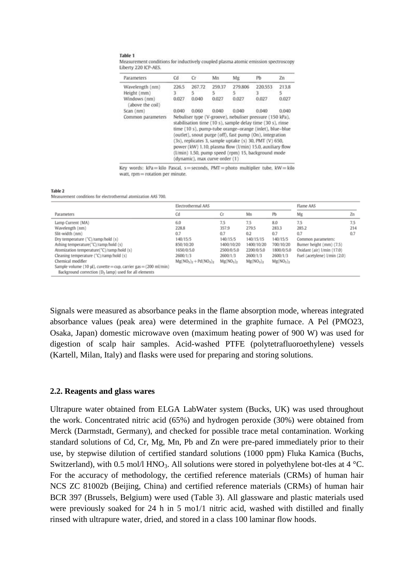#### Table 1

Measurement conditions for inductively coupled plasma atomic emission spectroscopy Liberty 220 ICP-AES.

| <b>Parameters</b>                | Cd                             | Cr                                                                                                                                                                                                                                                                                                                                                                                                                         | Mn     | Mg      | PЬ      | Zn    |  |  |  |
|----------------------------------|--------------------------------|----------------------------------------------------------------------------------------------------------------------------------------------------------------------------------------------------------------------------------------------------------------------------------------------------------------------------------------------------------------------------------------------------------------------------|--------|---------|---------|-------|--|--|--|
| Wavelength (nm)                  | 226.5                          | 267.72                                                                                                                                                                                                                                                                                                                                                                                                                     | 259.37 | 279.806 | 220.553 | 213.8 |  |  |  |
| Height (mm)                      | 3.                             | 5                                                                                                                                                                                                                                                                                                                                                                                                                          | 5      | 5       |         | 5     |  |  |  |
| Windows (nm)<br>(above the coil) | 0.027                          | 0.040                                                                                                                                                                                                                                                                                                                                                                                                                      | 0.027  | 0.027   | 0.027   | 0.027 |  |  |  |
| Scan (nm)                        | 0.040                          | 0.060                                                                                                                                                                                                                                                                                                                                                                                                                      | 0.040  | 0.040   | 0.040   | 0.040 |  |  |  |
| Common parameters                | (dynamic), max curve order (1) | Nebuliser type (V-groove), nebuliser pressure (150 kPa),<br>stabilisation time (10 s), sample delay time (30 s), rinse<br>time (10 s), pump-tube orange-orange (inlet), blue-blue<br>(outlet), snout purge (off), fast pump (On), integration<br>(3s), replicates 3, sample uptake (s) 30, PMT (V) 650,<br>power (kW) 1.10, plasma flow (l/min) 15.0, auxiliary flow<br>(I/min) 1.50, pump speed (rpm) 15, background mode |        |         |         |       |  |  |  |

Key words: kPa=kilo Pascal, s=seconds, PMT=photo multiplier tube, kW=kilo watt, rpm = rotation per minute.

#### Table 2

Measurement conditions for electrothermal atomization AAS 700

|                                                                                                                                                                                                                                                                                                                                                                                                 | Electrothermal AAS                                                                                  |                                                                                                              |                                                                                                               |                                                                                                             | Flame AAS                                                                                                                           |                   |
|-------------------------------------------------------------------------------------------------------------------------------------------------------------------------------------------------------------------------------------------------------------------------------------------------------------------------------------------------------------------------------------------------|-----------------------------------------------------------------------------------------------------|--------------------------------------------------------------------------------------------------------------|---------------------------------------------------------------------------------------------------------------|-------------------------------------------------------------------------------------------------------------|-------------------------------------------------------------------------------------------------------------------------------------|-------------------|
| Parameters                                                                                                                                                                                                                                                                                                                                                                                      | Cd                                                                                                  | Сr                                                                                                           | Mn                                                                                                            | Pb                                                                                                          | Mg                                                                                                                                  | Zn                |
| Lamp Current (MA)<br>Wavelength (nm)<br>Slit-width (nm)<br>Dry temperature ("C)/ramp/hold (s)<br>Ashing temperature("C)/ramp/hold (s)<br>Atomization temperature("C)/ramp/hold (s)<br>Cleaning temperature (°C)/ramp/hold (s)<br>Chemical modifier<br>Sample volume (10 $\mu$ ), cuvette = cup, carrier gas = (200 ml/min)<br>Background correction (D <sub>2</sub> lamp) used for all elements | 6.0<br>228.8<br>0.7<br>140/15/5<br>850/10/20<br>1650/0/5.0<br>2600/1/3<br>$Mg(NO_1)_2 + Pd(NO_1)_2$ | 7.5<br>357.9<br>0.7<br>140/15/5<br>1400/10/20<br>2500/0/5.0<br>2600/1/3<br>Mg(NO <sub>3</sub> ) <sub>2</sub> | 7.5<br>279.5<br>0.2<br>140/15/15<br>1400/10/20<br>2200/0/5.0<br>2600/1/3<br>Mg(NO <sub>3</sub> ) <sub>2</sub> | 8.0<br>283.3<br>0.7<br>140/15/5<br>700/10/20<br>1800/0/5.0<br>2600/1/3<br>Mg(NO <sub>3</sub> ) <sub>2</sub> | 7.5<br>285.2<br>0.7<br>Common parameters:<br>Burner height (mm) (7.5)<br>Oxidant (air) I/min (17.0)<br>Fuel (acetylene) I/min (2.0) | 7.5<br>214<br>0.7 |

Signals were measured as absorbance peaks in the flame absorption mode, whereas integrated absorbance values (peak area) were determined in the graphite furnace. A Pel (PMO23, Osaka, Japan) domestic microwave oven (maximum heating power of 900 W) was used for digestion of scalp hair samples. Acid-washed PTFE (polytetrafluoroethylene) vessels (Kartell, Milan, Italy) and flasks were used for preparing and storing solutions.

#### **2.2. Reagents and glass wares**

Ultrapure water obtained from ELGA LabWater system (Bucks, UK) was used throughout the work. Concentrated nitric acid (65%) and hydrogen peroxide (30%) were obtained from Merck (Darmstadt, Germany), and checked for possible trace metal contamination. Working standard solutions of Cd, Cr, Mg, Mn, Pb and Zn were pre-pared immediately prior to their use, by stepwise dilution of certified standard solutions (1000 ppm) Fluka Kamica (Buchs, Switzerland), with 0.5 mol/l HNO<sub>3</sub>. All solutions were stored in polyethylene bot-tles at 4 °C. For the accuracy of methodology, the certified reference materials (CRMs) of human hair NCS ZC 81002b (Beijing, China) and certified reference materials (CRMs) of human hair BCR 397 (Brussels, Belgium) were used (Table 3). All glassware and plastic materials used were previously soaked for 24 h in 5 mo1/1 nitric acid, washed with distilled and finally rinsed with ultrapure water, dried, and stored in a class 100 laminar flow hoods.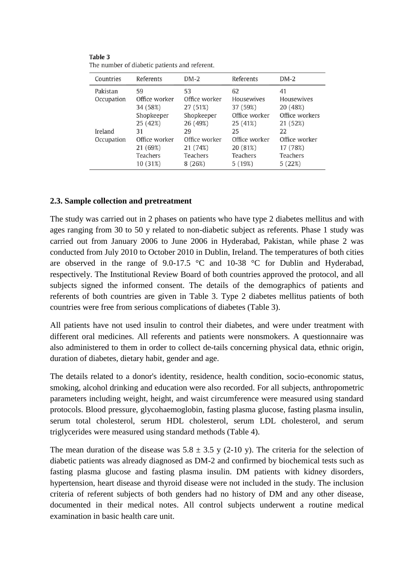| Countries  | Referents     | $DM-2$          | Referents       | $DM-2$         |
|------------|---------------|-----------------|-----------------|----------------|
| Pakistan   | 59            | 53              | 62              | 41             |
| Occupation | Office worker | Office worker   | Housewives      | Housewives     |
|            | 34 (58%)      | 27 (51%)        | 37 (59%)        | 20 (48%)       |
|            | Shopkeeper    | Shopkeeper      | Office worker   | Office workers |
|            | 25 (42%)      | 26 (49%)        | 25 (41%)        | 21 (52%)       |
| Ireland    | 31            | 29              | 25              | 22             |
| Occupation | Office worker | Office worker   | Office worker   | Office worker  |
|            | 21 (69%)      | 21 (74%)        | 20 (81%)        | 17 (78%)       |
|            | Teachers      | <b>Teachers</b> | <b>Teachers</b> | Teachers       |
|            | 10 (31%)      | 8(26%)          | 5(19%)          | 5(22%)         |
|            |               |                 |                 |                |

| Table 3                                       |  |
|-----------------------------------------------|--|
| The number of diabetic patients and referent. |  |

### **2.3. Sample collection and pretreatment**

The study was carried out in 2 phases on patients who have type 2 diabetes mellitus and with ages ranging from 30 to 50 y related to non-diabetic subject as referents. Phase 1 study was carried out from January 2006 to June 2006 in Hyderabad, Pakistan, while phase 2 was conducted from July 2010 to October 2010 in Dublin, Ireland. The temperatures of both cities are observed in the range of  $9.0-17.5$  °C and  $10-38$  °C for Dublin and Hyderabad, respectively. The Institutional Review Board of both countries approved the protocol, and all subjects signed the informed consent. The details of the demographics of patients and referents of both countries are given in Table 3. Type 2 diabetes mellitus patients of both countries were free from serious complications of diabetes (Table 3).

All patients have not used insulin to control their diabetes, and were under treatment with different oral medicines. All referents and patients were nonsmokers. A questionnaire was also administered to them in order to collect de-tails concerning physical data, ethnic origin, duration of diabetes, dietary habit, gender and age.

The details related to a donor's identity, residence, health condition, socio-economic status, smoking, alcohol drinking and education were also recorded. For all subjects, anthropometric parameters including weight, height, and waist circumference were measured using standard protocols. Blood pressure, glycohaemoglobin, fasting plasma glucose, fasting plasma insulin, serum total cholesterol, serum HDL cholesterol, serum LDL cholesterol, and serum triglycerides were measured using standard methods (Table 4).

The mean duration of the disease was  $5.8 \pm 3.5$  y (2-10 y). The criteria for the selection of diabetic patients was already diagnosed as DM-2 and confirmed by biochemical tests such as fasting plasma glucose and fasting plasma insulin. DM patients with kidney disorders, hypertension, heart disease and thyroid disease were not included in the study. The inclusion criteria of referent subjects of both genders had no history of DM and any other disease, documented in their medical notes. All control subjects underwent a routine medical examination in basic health care unit.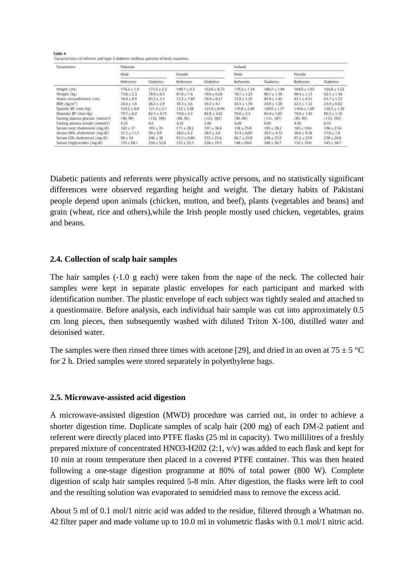**Cable 4** Characteristics of referent and type 2 diabetes mellitus patients of both countries.

| <b>Parameters</b>               | Pakistan        |                  |                |                  | Ireland          |                  |                  |                  |  |
|---------------------------------|-----------------|------------------|----------------|------------------|------------------|------------------|------------------|------------------|--|
|                                 | Male.           |                  | Female         |                  | Male             |                  | Fernale          |                  |  |
|                                 | Referents       | <b>Diabetics</b> | Referents      | <b>Diabetics</b> | Referents        | <b>Diabetics</b> | Referents        | <b>Diabetics</b> |  |
| Height (cm)                     | $176.2 \pm 1.9$ | $173.5 + 2.2$    | $149.7 + 6.3$  | $152.6 + 8.73$   | $179.2 \pm 1.34$ | $180.2 \pm 1.44$ | $164.0 \pm 1.03$ | $164.8 \pm 1.52$ |  |
| Weight (kg)                     | $75.8 + 2.3$    | $78.9 + 6.3$     | $67.8 + 7.4$   | $70.6 + 6.28$    | $78.7 \pm 1.25$  | $80.7 \pm 1.36$  | $60.4 \pm 1.13$  | $62.5 + 1.36$    |  |
| Waist circumference (cm)        | $76.4 + 9.9$    | $83.2 + 3.1$     | $72.5 + 7.89$  | $76.9 + 8.21$    | $75.9 + 1.25$    | $85.9 + 1.45$    | $63.1 \pm 0.51$  | $63.7 \pm 1.52$  |  |
| $BMI$ $(kg/m2)$                 | $24.4 + 1.6$    | $26.2 + 2.9$     | $30.3 + 3.6$   | $30.2 + 4.1$     | $24.5 \pm 1.59$  | $248 + 1.28$     | $22.5 \pm 1.32$  | $23.0 + 0.62$    |  |
| Systolic BP (mm Hg)             | $124.2 \pm 6.8$ | $121.4 \pm 5.1$  | $122 \pm 5.28$ | $121.9 + 8.94$   | $119.8 + 2.46$   | $120.9 \pm 1.57$ | $119.6 + 1.09$   | $120.2 \pm 1.36$ |  |
| Diastolic BP (mm Hg)            | $79.7 + 6.2$    | $82.5 + 4.73$    | $79.8 + 4.2$   | $82.8 + 3.62$    | $79.6 + 2.3$     | $85.4 + 1.05$    | $79.9 \pm 1.42$  | $80.3 + 1.16$    |  |
| Fasting plasma glucose (mmol/l) | (90, 99)        | (132, 189)       | (88, 95)       | 123, 182         | (90, 99)         | (131, 187)       | (85, 99)         | (135, 192)       |  |
| Fasting plasma insulin (mmol/l) | 4.35            | 6.5              | 4.32           | 5.96             | 4.29             | 6.65             | 4.36             | 6.53             |  |
| Serum total cholesterol (mg/dl) | $162 + 37$      | $193 + 35$       | $171 + 28.2$   | $197 + 38.6$     | $158 + 25.8$     | $195 + 28.2$     | $165 \pm 19.6$   | $196 + 27.6$     |  |
| Serum HDL cholesterol (mg/dl)   | $37.5 \pm 11.5$ | $29 + 9.9$       | $38.6 + 6.2$   | $28.5 + 3.6$     | $35.4 + 6.95$    | $28.5 \pm 4.72$  | $38.6 + 9.38$    | $27.8 + 7.8$     |  |
| Serum LDL cholesterol (mg/dl)   | $98 + 34$       | $246 + 36$       | $93.5 + 9.86$  | $255 + 23.6$     | $96.7 + 25.8$    | $238 + 259$      | $97.2 + 23.9$    | $238 + 26.6$     |  |
| Serum triglycerides (mg/dl)     | $155 + 88.1$    | $234 + 52.8$     | $153 \pm 25.3$ | $258 + 19.5$     | $148 + 69.6$     | $240 \pm 36.7$   | $152 + 70.6$     | $243 \pm 38.7$   |  |

Diabetic patients and referents were physically active persons, and no statistically significant differences were observed regarding height and weight. The dietary habits of Pakistani people depend upon animals (chicken, mutton, and beef), plants (vegetables and beans) and grain (wheat, rice and others),while the Irish people mostly used chicken, vegetables, grains and beans.

#### **2.4. Collection of scalp hair samples**

The hair samples  $(-1.0 \text{ g each})$  were taken from the nape of the neck. The collected hair samples were kept in separate plastic envelopes for each participant and marked with identification number. The plastic envelope of each subject was tightly sealed and attached to a questionnaire. Before analysis, each individual hair sample was cut into approximately 0.5 cm long pieces, then subsequently washed with diluted Triton X-100, distilled water and deionised water.

The samples were then rinsed three times with acetone [29], and dried in an oven at  $75 \pm 5$  °C for 2 h. Dried samples were stored separately in polyethylene bags.

#### **2.5. Microwave-assisted acid digestion**

A microwave-assisted digestion (MWD) procedure was carried out, in order to achieve a shorter digestion time. Duplicate samples of scalp hair (200 mg) of each DM-2 patient and referent were directly placed into PTFE flasks (25 ml in capacity). Two millilitres of a freshly prepared mixture of concentrated HNO3-H202 (2:1, v/v) was added to each flask and kept for 10 min at room temperature then placed in a covered PTFE container. This was then heated following a one-stage digestion programme at 80% of total power (800 W). Complete digestion of scalp hair samples required 5-8 min. After digestion, the flasks were left to cool and the resulting solution was evaporated to semidried mass to remove the excess acid.

About 5 ml of 0.1 mol/1 nitric acid was added to the residue, filtered through a Whatman no. 42 filter paper and made volume up to 10.0 ml in volumetric flasks with 0.1 mol/1 nitric acid.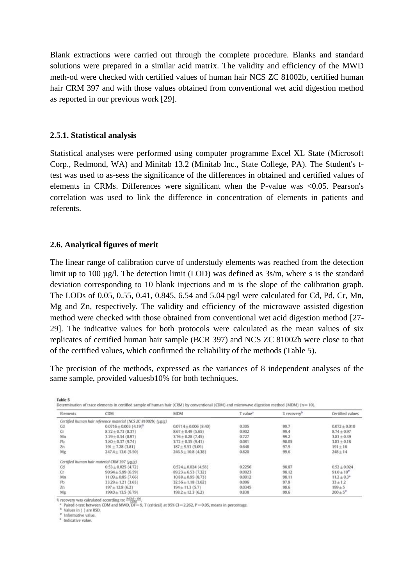Blank extractions were carried out through the complete procedure. Blanks and standard solutions were prepared in a similar acid matrix. The validity and efficiency of the MWD meth-od were checked with certified values of human hair NCS ZC 81002b, certified human hair CRM 397 and with those values obtained from conventional wet acid digestion method as reported in our previous work [29].

#### **2.5.1. Statistical analysis**

Statistical analyses were performed using computer programme Excel XL State (Microsoft Corp., Redmond, WA) and Minitab 13.2 (Minitab Inc., State College, PA). The Student's ttest was used to as-sess the significance of the differences in obtained and certified values of elements in CRMs. Differences were significant when the P-value was <0.05. Pearson's correlation was used to link the difference in concentration of elements in patients and referents.

#### **2.6. Analytical figures of merit**

The linear range of calibration curve of understudy elements was reached from the detection limit up to 100  $\mu$ g/l. The detection limit (LOD) was defined as  $3s/m$ , where s is the standard deviation corresponding to 10 blank injections and m is the slope of the calibration graph. The LODs of 0.05, 0.55, 0.41, 0.845, 6.54 and 5.04 pg/l were calculated for Cd, Pd, Cr, Mn, Mg and Zn, respectively. The validity and efficiency of the microwave assisted digestion method were checked with those obtained from conventional wet acid digestion method [27- 29]. The indicative values for both protocols were calculated as the mean values of six replicates of certified human hair sample (BCR 397) and NCS ZC 81002b were close to that of the certified values, which confirmed the reliability of the methods (Table 5).

The precision of the methods, expressed as the variances of 8 independent analyses of the same sample, provided valuesb10% for both techniques.

| <b>Elements</b> | <b>CDM</b>                                                     | <b>MDM</b>                | T value <sup>2</sup> | % recovery <sup>b</sup> | Certified values         |
|-----------------|----------------------------------------------------------------|---------------------------|----------------------|-------------------------|--------------------------|
|                 | Certified human hair reference material (NCS ZC 81002b) (µg/g) |                           |                      |                         |                          |
| Cd              | $0.0716 \pm 0.003$ $(4.19)^{h}$                                | $0.0714 \pm 0.006$ (8.40) | 0.305                | 99.7                    | $0.072 \pm 0.010$        |
| Cr              | $8.72 \pm 0.73$ (8.37)                                         | $8.67 \pm 0.49$ (5.65)    | 0.902                | 99.4                    | $8.74 \pm 0.97$          |
| Mn              | $3.79 \pm 0.34$ (8.97)                                         | $3.76 \pm 0.28$ (7.45)    | 0.727                | 99.2                    | $3.83 \pm 0.39$          |
| Pb              | $3.80 \pm 0.37$ (9.74)                                         | $3.72 \pm 0.35$ (9.41)    | 0.081                | 98.05                   | $3.83 \pm 0.18$          |
| Zn              | $191 \pm 7.28$ (3.81)                                          | $187 + 9.53(5.09)$        | 0.648                | 97.9                    | $191 \pm 16$             |
| Mg              | $247.4 \pm 13.6$ (5.50)                                        | $246.5 \pm 10.8$ (4.38)   | 0.820                | 99.6                    | $248 + 14$               |
|                 | Certified human hair material CRM 397 (µg/g)                   |                           |                      | <b>College College</b>  |                          |
| Cd              | $0.53 \pm 0.025$ (4.72)                                        | $0.524 \pm 0.024$ (4.58)  | 0.2256               | 98.87                   | $0.52 + 0.024$           |
| Cr.             | $90.94 + 5.99(6.59)$                                           | $89.23 + 6.53(7.32)$      | 0.0023               | 98.12                   | $91.0 + 10''$            |
| Mn              | $11.09 \pm 0.85$ (7.66)                                        | $10.88 \pm 0.95$ (8.73)   | 0.0012               | 98.11                   | $11.2 \pm 0.3$ *         |
| Pb              | $33.29 \pm 1.21$ (3.63)                                        | $32.56 \pm 1.18$ (3.62)   | 0.096                | 97.8                    | $33 + 1.2$               |
| Zn              | $197 \pm 12.8$ (6.2)                                           | $194 \pm 11.3$ (5.7)      | 0.0345               | 98.6                    | $199 + 5$                |
| Mg              | $199.0 \pm 13.5(6.79)$                                         | $198.2 \pm 12.3$ (6.2)    | 0.838                | 99.6                    | $200 \pm 5$ <sup>*</sup> |

recovery was calculated according to:  $\frac{M(M_C \times 100)}{1000}$ <br><sup>4</sup> Paired t-test between CDM and MWD, DF = 9, T (critical) at 95% Cl = 2.262, P = 0.05, means in percentage.

<sup>b</sup> Values in ( ) are RSD.

\* Informative value. \* Indicative value.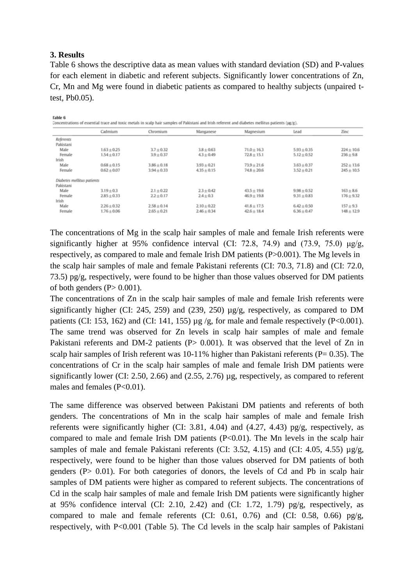### **3. Results**

 $0.3328$ 

Table 6 shows the descriptive data as mean values with standard deviation (SD) and P-values for each element in diabetic and referent subjects. Significantly lower concentrations of Zn, Cr, Mn and Mg were found in diabetic patients as compared to healthy subjects (unpaired ttest, Pb0.05).

|                            | Cadmium         | Chromium       | Manganese       | Magnesium       | Lead            | Zinc           |
|----------------------------|-----------------|----------------|-----------------|-----------------|-----------------|----------------|
| Referents                  |                 |                |                 |                 |                 |                |
| Pakistani                  |                 |                |                 |                 |                 |                |
| Male                       | $1.63 \pm 0.25$ | $3.7 + 0.32$   | $3.8 + 0.63$    | $71.0 \pm 16.3$ | $5.93 \pm 0.35$ | $224 \pm 10.6$ |
| Female                     | $1.54 \pm 0.17$ | $3.9 \pm 0.37$ | $4.3 \pm 0.49$  | $72.8 \pm 15.1$ | $5.12 \pm 0.52$ | $236 \pm 9.8$  |
| Irish                      |                 |                |                 |                 |                 |                |
| Male                       | $0.68 + 0.15$   | $3.86 + 0.18$  | $3.93 \pm 0.21$ | $73.9 + 21.6$   | $3.63 \pm 0.37$ | $252 \pm 13.6$ |
| Female                     | $0.62 + 0.07$   | $3.94 + 0.33$  | $4.35 \pm 0.15$ | $74.8 \pm 20.6$ | $3.52 \pm 0.21$ | $245 \pm 10.5$ |
| Diabetes mellitus patients |                 |                |                 |                 |                 |                |
| Pakistani                  |                 |                |                 |                 |                 |                |
| Male                       | $3.19 + 0.3$    | $2.1 + 0.22$   | $2.3 \pm 0.42$  | $43.5 \pm 19.6$ | $9.98 + 0.52$   | $163 \pm 8.6$  |
| Female                     | $2.85 + 0.33$   | $2.2 + 0.17$   | $2.4 \pm 0.3$   | $46.9 + 19.8$   | $9.31 \pm 0.83$ | $176 \pm 9.32$ |
| Irish                      |                 |                |                 |                 |                 |                |
| Male                       | $2.26 + 0.32$   | $2.58 + 0.14$  | $2.10 + 0.22$   | $41.8 \pm 17.5$ | $6.42 + 0.50$   | $157 + 9.3$    |
| Female                     | $1.76 \pm 0.06$ | $2.65 + 0.21$  | $2.46 \pm 0.34$ | $42.6 \pm 18.4$ | $6.36 \pm 0.47$ | $148 \pm 12.9$ |

The concentrations of Mg in the scalp hair samples of male and female Irish referents were significantly higher at 95% confidence interval (CI: 72.8, 74.9) and (73.9, 75.0)  $\mu$ g/g, respectively, as compared to male and female Irish DM patients (P>0.001). The Mg levels in the scalp hair samples of male and female Pakistani referents (CI: 70.3, 71.8) and (CI: 72.0, 73.5) pg/g, respectively, were found to be higher than those values observed for DM patients of both genders  $(P> 0.001)$ .

The concentrations of Zn in the scalp hair samples of male and female Irish referents were significantly higher (CI: 245, 259) and (239, 250) µg/g, respectively, as compared to DM patients (CI: 153, 162) and (CI: 141, 155)  $\mu$ g /g, for male and female respectively (P<0.001). The same trend was observed for Zn levels in scalp hair samples of male and female Pakistani referents and DM-2 patients (P> 0.001). It was observed that the level of Zn in scalp hair samples of Irish referent was  $10-11\%$  higher than Pakistani referents (P= 0.35). The concentrations of Cr in the scalp hair samples of male and female Irish DM patients were significantly lower (CI: 2.50, 2.66) and (2.55, 2.76) µg, respectively, as compared to referent males and females (P<0.01).

The same difference was observed between Pakistani DM patients and referents of both genders. The concentrations of Mn in the scalp hair samples of male and female Irish referents were significantly higher (CI: 3.81, 4.04) and (4.27, 4.43) pg/g, respectively, as compared to male and female Irish DM patients (P<0.01). The Mn levels in the scalp hair samples of male and female Pakistani referents (CI: 3.52, 4.15) and (CI: 4.05, 4.55)  $\mu$ g/g, respectively, were found to be higher than those values observed for DM patients of both genders (P> 0.01). For both categories of donors, the levels of Cd and Pb in scalp hair samples of DM patients were higher as compared to referent subjects. The concentrations of Cd in the scalp hair samples of male and female Irish DM patients were significantly higher at 95% confidence interval (CI: 2.10, 2.42) and (CI: 1.72, 1.79) pg/g, respectively, as compared to male and female referents (CI: 0.61, 0.76) and (CI: 0.58, 0.66) pg/g, respectively, with P<0.001 (Table 5). The Cd levels in the scalp hair samples of Pakistani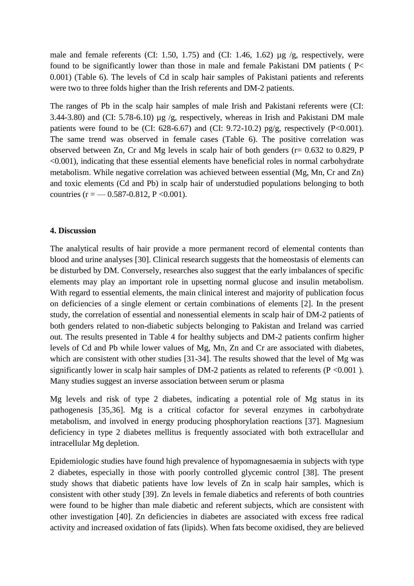male and female referents (CI: 1.50, 1.75) and (CI: 1.46, 1.62)  $\mu$ g /g, respectively, were found to be significantly lower than those in male and female Pakistani DM patients ( P< 0.001) (Table 6). The levels of Cd in scalp hair samples of Pakistani patients and referents were two to three folds higher than the Irish referents and DM-2 patients.

The ranges of Pb in the scalp hair samples of male Irish and Pakistani referents were (CI: 3.44-3.80) and (CI: 5.78-6.10) µg /g, respectively, whereas in Irish and Pakistani DM male patients were found to be (CI:  $628-6.67$ ) and (CI:  $9.72-10.2$ ) pg/g, respectively (P<0.001). The same trend was observed in female cases (Table 6). The positive correlation was observed between Zn, Cr and Mg levels in scalp hair of both genders (r= 0.632 to 0.829, P <0.001), indicating that these essential elements have beneficial roles in normal carbohydrate metabolism. While negative correlation was achieved between essential (Mg, Mn, Cr and Zn) and toxic elements (Cd and Pb) in scalp hair of understudied populations belonging to both countries ( $r = -0.587 - 0.812$ ,  $P < 0.001$ ).

#### **4. Discussion**

The analytical results of hair provide a more permanent record of elemental contents than blood and urine analyses [30]. Clinical research suggests that the homeostasis of elements can be disturbed by DM. Conversely, researches also suggest that the early imbalances of specific elements may play an important role in upsetting normal glucose and insulin metabolism. With regard to essential elements, the main clinical interest and majority of publication focus on deficiencies of a single element or certain combinations of elements [2]. In the present study, the correlation of essential and nonessential elements in scalp hair of DM-2 patients of both genders related to non-diabetic subjects belonging to Pakistan and Ireland was carried out. The results presented in Table 4 for healthy subjects and DM-2 patients confirm higher levels of Cd and Pb while lower values of Mg, Mn, Zn and Cr are associated with diabetes, which are consistent with other studies [31-34]. The results showed that the level of Mg was significantly lower in scalp hair samples of DM-2 patients as related to referents ( $P < 0.001$ ). Many studies suggest an inverse association between serum or plasma

Mg levels and risk of type 2 diabetes, indicating a potential role of Mg status in its pathogenesis [35,36]. Mg is a critical cofactor for several enzymes in carbohydrate metabolism, and involved in energy producing phosphorylation reactions [37]. Magnesium deficiency in type 2 diabetes mellitus is frequently associated with both extracellular and intracellular Mg depletion.

Epidemiologic studies have found high prevalence of hypomagnesaemia in subjects with type 2 diabetes, especially in those with poorly controlled glycemic control [38]. The present study shows that diabetic patients have low levels of Zn in scalp hair samples, which is consistent with other study [39]. Zn levels in female diabetics and referents of both countries were found to be higher than male diabetic and referent subjects, which are consistent with other investigation [40]. Zn deficiencies in diabetes are associated with excess free radical activity and increased oxidation of fats (lipids). When fats become oxidised, they are believed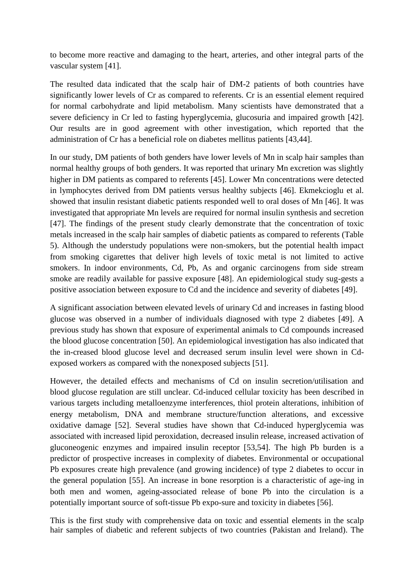to become more reactive and damaging to the heart, arteries, and other integral parts of the vascular system [41].

The resulted data indicated that the scalp hair of DM-2 patients of both countries have significantly lower levels of Cr as compared to referents. Cr is an essential element required for normal carbohydrate and lipid metabolism. Many scientists have demonstrated that a severe deficiency in Cr led to fasting hyperglycemia, glucosuria and impaired growth [42]. Our results are in good agreement with other investigation, which reported that the administration of Cr has a beneficial role on diabetes mellitus patients [43,44].

In our study, DM patients of both genders have lower levels of Mn in scalp hair samples than normal healthy groups of both genders. It was reported that urinary Mn excretion was slightly higher in DM patients as compared to referents [45]. Lower Mn concentrations were detected in lymphocytes derived from DM patients versus healthy subjects [46]. Ekmekcioglu et al. showed that insulin resistant diabetic patients responded well to oral doses of Mn [46]. It was investigated that appropriate Mn levels are required for normal insulin synthesis and secretion [47]. The findings of the present study clearly demonstrate that the concentration of toxic metals increased in the scalp hair samples of diabetic patients as compared to referents (Table 5). Although the understudy populations were non-smokers, but the potential health impact from smoking cigarettes that deliver high levels of toxic metal is not limited to active smokers. In indoor environments, Cd, Pb, As and organic carcinogens from side stream smoke are readily available for passive exposure [48]. An epidemiological study sug-gests a positive association between exposure to Cd and the incidence and severity of diabetes [49].

A significant association between elevated levels of urinary Cd and increases in fasting blood glucose was observed in a number of individuals diagnosed with type 2 diabetes [49]. A previous study has shown that exposure of experimental animals to Cd compounds increased the blood glucose concentration [50]. An epidemiological investigation has also indicated that the in-creased blood glucose level and decreased serum insulin level were shown in Cdexposed workers as compared with the nonexposed subjects [51].

However, the detailed effects and mechanisms of Cd on insulin secretion/utilisation and blood glucose regulation are still unclear. Cd-induced cellular toxicity has been described in various targets including metalloenzyme interferences, thiol protein alterations, inhibition of energy metabolism, DNA and membrane structure/function alterations, and excessive oxidative damage [52]. Several studies have shown that Cd-induced hyperglycemia was associated with increased lipid peroxidation, decreased insulin release, increased activation of gluconeogenic enzymes and impaired insulin receptor [53,54]. The high Pb burden is a predictor of prospective increases in complexity of diabetes. Environmental or occupational Pb exposures create high prevalence (and growing incidence) of type 2 diabetes to occur in the general population [55]. An increase in bone resorption is a characteristic of age-ing in both men and women, ageing-associated release of bone Pb into the circulation is a potentially important source of soft-tissue Pb expo-sure and toxicity in diabetes [56].

This is the first study with comprehensive data on toxic and essential elements in the scalp hair samples of diabetic and referent subjects of two countries (Pakistan and Ireland). The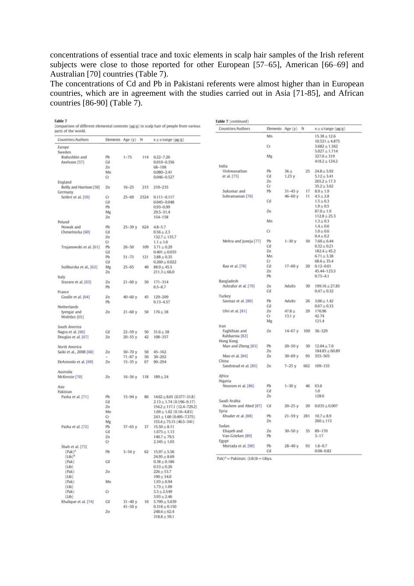concentrations of essential trace and toxic elements in scalp hair samples of the Irish referent subjects were close to those reported for other European [57–65], American [66–69] and Australian [70] countries (Table 7).

The concentrations of Cd and Pb in Pakistani referents were almost higher than in European countries, which are in agreement with the studies carried out in Asia [71-85], and African countries [86-90] (Table 7).

| parts of the world.          |                    |            |      | Comparison of different elemental contents (µg/g) in scalp hair of people from various | Countries/Authors                         |    | Elements Age (y) N |     | $x \pm s/r$ ange ( $\mu$ g/g)          |
|------------------------------|--------------------|------------|------|----------------------------------------------------------------------------------------|-------------------------------------------|----|--------------------|-----|----------------------------------------|
| Countries/Authors            | Elements Age (y) N |            |      | $x \pm s$ /range ( $\mu$ g/g)                                                          |                                           | Mn |                    |     | $15.38 \pm 12.6$<br>$10.521 \pm 4.875$ |
| Europe                       |                    |            |      |                                                                                        |                                           | Cr |                    |     | $3.682 \pm 1.362$                      |
| Sweden                       |                    |            |      |                                                                                        |                                           |    |                    |     | $5.027 \pm 1.714$                      |
| Rodushkin and                | Pb                 | $1 - 75$   | 114  | $0.22 - 7.26$                                                                          |                                           | Mg |                    |     | $327.0 \pm 319$                        |
| Axelsson [57]                | Cd                 |            |      | $0.010 - 0.356$                                                                        |                                           |    |                    |     | $418.2 \pm 124.2$                      |
|                              | Zn                 |            |      | 68-198                                                                                 | India                                     |    |                    |     |                                        |
|                              | Mn                 |            |      | $0.080 - 2.41$                                                                         | Vishwanathan                              | Pb | 36 <sub>±</sub>    | 25  | $24.8 \pm 5.92$                        |
|                              | Cr                 |            |      | $0.046 - 0.527$                                                                        | et al. [75]                               | Cd | 1.23y              |     | $5.12 \pm 3.41$                        |
| England                      |                    |            |      |                                                                                        |                                           | Zn |                    |     | $265.2 \pm 17.3$                       |
| Reilly and Harrison [58]     | Zn                 | $16 - 25$  | 215  | 210-235                                                                                |                                           | Сr |                    |     | $35.2 \pm 3.62$                        |
| Germany                      |                    |            |      |                                                                                        | Sukumar and                               | Pb | $31 - 45y$         | 17  | $8.9 \pm 1.9$                          |
| Seifert et al. [59]          | Сr                 | $25 - 69$  | 2524 | $0.111 - 0.117$                                                                        | Subramanian [76]                          |    | $46 - 60y$         | 11  | $4.5 \pm 2.8$                          |
|                              | Cd                 |            |      | 0.045-0.048                                                                            |                                           | Cd |                    |     | $1.5 \pm 0.3$                          |
|                              | Pb                 |            |      | $0.93 - 0.99$                                                                          |                                           |    |                    |     | $1.9 \pm 0.5$                          |
|                              | Mg                 |            |      | 29.5-31.4                                                                              |                                           | Zn |                    |     | $87.0 \pm 1.9$                         |
|                              | Zn                 |            |      | 154-158                                                                                |                                           |    |                    |     | $112.8 + 25.3$                         |
| Poland                       |                    |            |      |                                                                                        |                                           | Mn |                    |     | $1.3 \pm 0.3$                          |
| Nowak and                    | Pb                 | $25 - 39y$ | 624  | $4.8 - 5.7$                                                                            |                                           |    |                    |     | $1.4 \pm 0.6$                          |
| Chmielnicka <sup>[60]</sup>  | Cd                 |            |      | $0.56 + 2.3$                                                                           |                                           | Cr |                    |     | $1.0 + 0.6$                            |
|                              | Zn                 |            |      | $132.7 \pm 135.7$                                                                      |                                           |    |                    |     | $0.4 \pm 0.2$                          |
|                              | Cr                 |            |      | $1.1 \pm 1.6$                                                                          | Mehra and Juneja [77]                     | Pb | $1 - 30y$          | 50  | $7.60 \pm 6.44$                        |
| Trojanowski et al. [61]      | Pb                 | $26 - 50$  | 109  | $3.71 \pm 0.29$                                                                        |                                           | Cd |                    |     | $0.32 \pm 0.21$                        |
|                              | Cd                 |            |      | $0.401 \pm 0.035$                                                                      |                                           | Zn |                    |     | $182.4 \pm 45.2$                       |
|                              | Pb                 | $51 - 75$  | 121  | $3.88 \pm 0.35$                                                                        |                                           | Mn |                    |     | $6.71 \pm 3.38$                        |
|                              | Cd                 |            |      | $0.260 \pm 0.022$                                                                      |                                           | Cr |                    |     | $68.6 \pm 35.4$                        |
| Suliburska et al., [62]      | Mg                 | $25 - 65$  | 40   | $88.9 + 45.5$                                                                          | Rao et al. [78]                           | Cd | $17-60y$           | 20  | $0.12 - 0.61$                          |
|                              | Zn                 |            |      | $211.3 \pm 66.0$                                                                       |                                           | Zn |                    |     | 45.44-123.5                            |
| Italy                        |                    |            |      |                                                                                        |                                           | Pb |                    |     | $0.75 - 4.1$                           |
| Sturaro et al. [63]          | Zn                 | $21 - 60y$ | 50   | $171 - 314$                                                                            | Bangladesh                                |    |                    |     |                                        |
|                              | Pb                 |            |      | $6.5 - 8.7$                                                                            | Ashrafur et al. [79]                      | Zn | Adults             | 30  | $199.16 \pm 27.85$                     |
| France                       |                    |            |      |                                                                                        |                                           | Cd |                    |     | $0.47 \pm 0.32$                        |
| Goulle et al. [64]           | Zn                 | $40 - 60y$ | 45   | 129-209                                                                                | Turkey                                    |    |                    |     |                                        |
|                              | Pb                 |            |      | $0.13 - 4.57$                                                                          | Sasmaz et al. [80]                        | Pb | <b>Adults</b>      | 26  | $3.06 \pm 1.42$                        |
| Netherlands                  |                    |            |      |                                                                                        |                                           | Cd |                    |     | $0.67 \pm 0.33$                        |
| lyengar and<br>Wolttlez [65] | Zn                 | $21 - 60y$ | 50   | $176 \pm 38$                                                                           | Ulvi et al. [81]                          | Zn | $47.8 +$           | 29  | 176.96                                 |
|                              |                    |            |      |                                                                                        |                                           | Cr | 13.1y              |     | 42.74                                  |
|                              |                    |            |      |                                                                                        |                                           | Mg |                    |     | 121.4                                  |
| South America                |                    |            |      |                                                                                        | Iran                                      |    |                    |     |                                        |
| Nagra et al. [66]            | Cd                 | $22 - 59y$ | 50   | $31.6 \pm 38$                                                                          | Faghihian and                             | Zn | $14 - 67y$         | 100 | $36 - 329$                             |
| Douglas et al. [67]          | Zn                 | $20 - 55y$ | 42   | 108-357                                                                                | Rahbarnia <sup>[82]</sup>                 |    |                    |     |                                        |
|                              |                    |            |      |                                                                                        | Hong Kong                                 |    |                    |     |                                        |
| North America                |                    |            |      |                                                                                        | Man and Zheng [83]                        | Pb | $20 - 50y$         | 30  | $12.04 \pm 7.0$                        |
| Saiki et al., 2008 [68]      | Zn                 | $50 - 70y$ | 50   | $45 - 162$                                                                             |                                           | Zn |                    |     | $184.85 \pm 60.89$                     |
|                              |                    | $71 - 87y$ | 50   | $30 - 202$                                                                             | Man et al. [84]                           | Zn | $30 - 69y$         | 95  | 355-503                                |
| DeAntonlo et al. [69]        | Zn                 | $15 - 35y$ | 67   | $90 - 294$                                                                             | China                                     |    |                    |     |                                        |
|                              |                    |            |      |                                                                                        | Sandstead et al. [85]                     | Zn | $7 - 25y$          | 662 | 109-155                                |
| Australia                    |                    |            |      |                                                                                        |                                           |    |                    |     |                                        |
| McKenzie [70]                | Zn                 | $16 - 56y$ | 118  | $189 + 24$                                                                             | Africa                                    |    |                    |     |                                        |
|                              |                    |            |      |                                                                                        | Nigeria                                   |    |                    |     |                                        |
| Asia                         |                    |            |      |                                                                                        | Nnorom et al. [86]                        | Pb | $1 - 30y$          | 46  | 63.6                                   |
| Pakistan                     |                    |            |      |                                                                                        |                                           | Cd |                    |     | 1.0                                    |
| Pasha et al. [71]            | Pb                 | $15 - 94y$ | 86   | $14.62 \pm 8.01$ (0.577-31.8)                                                          |                                           | Zn |                    |     | 128.6                                  |
|                              | Cd                 |            |      | $2.13 \pm 1.74$ (0.196-9.17)                                                           | Saudi Arabia                              |    |                    |     |                                        |
|                              | Zn                 |            |      | $154.2 \pm 117.1$ (12.4-729.2)                                                         | Hashem and Abed [87]                      | Cd | $20 - 25y$         | 20  | $0.035 \pm 0.007$                      |
|                              | Mn                 |            |      | $1.69 \pm 1.02$ (0.10-4.83)                                                            | Syria                                     |    |                    |     |                                        |
|                              | Cr                 |            |      | $2.61 \pm 1.60$ (0.495-7.375)                                                          | Khuder et al. [88]                        | Pb | $21 - 59y$         | 281 | $10.7 + 8.9$                           |
|                              | Mg                 |            |      | $153.4 \pm 75.15$ (46.5-341)                                                           |                                           | Zn |                    |     | $260 \pm 113$                          |
| Pasha et al. [72]            | Pb                 | $37 - 65y$ | 37   | $15.50 \pm 8.11$                                                                       | Sudan                                     |    |                    |     |                                        |
|                              | Cd                 |            |      | $1.675 \pm 1.13$                                                                       | Eltayeb and                               | Zn | $30 - 50y$         | 35  | $89 - 170$                             |
|                              | Zn                 |            |      | $140.7 \pm 79.5$                                                                       | Van-Grieken [89]                          | Pb |                    |     | $3 - 17$                               |
|                              | Cr                 |            |      | $2.345 \pm 1.03$                                                                       | Egypt                                     |    |                    |     |                                        |
| Shah et al. [73]             |                    |            |      |                                                                                        | Mortada et al. [90]                       | Pb | 28-40 y            | 93  | $1.8 - 9.7$                            |
| $(Pak)^4$                    | Pb                 | $3 - 54y$  |      | $62$ $15.97 \pm 5.56$                                                                  |                                           | Cd |                    |     | $0.08 - 0.82$                          |
| $(Lib)^b$                    |                    |            |      | $24.95 \pm 8.69$                                                                       | $Pak)^{a}$ = Pakistan; (Lib) $b$ = Libya. |    |                    |     |                                        |
| (Pak)                        | Cd                 |            |      | $0.38 \pm 0.186$                                                                       |                                           |    |                    |     |                                        |
| (Lib)                        |                    |            |      | $0.53 \pm 0.26$                                                                        |                                           |    |                    |     |                                        |
| (Pak)                        | Zn                 |            |      | $226 \pm 53.7$                                                                         |                                           |    |                    |     |                                        |
| (Lib)                        |                    |            |      | $190 + 34.0$                                                                           |                                           |    |                    |     |                                        |
| (Pak)                        | Mn                 |            |      | $1.93 \pm 0.94$                                                                        |                                           |    |                    |     |                                        |
| (Lib)                        |                    |            |      | $1.73 \pm 1.09$                                                                        |                                           |    |                    |     |                                        |
| (Pak)                        | Cr                 |            |      | $3.3 \pm 2.549$                                                                        |                                           |    |                    |     |                                        |
| (Lib)                        |                    |            |      | $3.93 \pm 2.46$                                                                        |                                           |    |                    |     |                                        |
| Khalique et al. [74]         | Cd                 | $31 - 40y$ |      | $10 \quad 5.799 \pm 5.639$                                                             |                                           |    |                    |     |                                        |
|                              |                    | $41 - 50y$ |      | $0.318 \pm 0.150$                                                                      |                                           |    |                    |     |                                        |
|                              | Zn                 |            |      | $248.6 \pm 62.4$                                                                       |                                           |    |                    |     |                                        |
|                              |                    |            |      | $318.8 \pm 59.1$                                                                       |                                           |    |                    |     |                                        |
|                              |                    |            |      |                                                                                        |                                           |    |                    |     |                                        |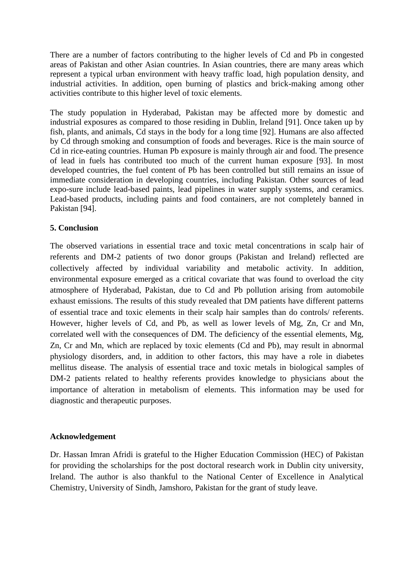There are a number of factors contributing to the higher levels of Cd and Pb in congested areas of Pakistan and other Asian countries. In Asian countries, there are many areas which represent a typical urban environment with heavy traffic load, high population density, and industrial activities. In addition, open burning of plastics and brick-making among other activities contribute to this higher level of toxic elements.

The study population in Hyderabad, Pakistan may be affected more by domestic and industrial exposures as compared to those residing in Dublin, Ireland [91]. Once taken up by fish, plants, and animals, Cd stays in the body for a long time [92]. Humans are also affected by Cd through smoking and consumption of foods and beverages. Rice is the main source of Cd in rice-eating countries. Human Pb exposure is mainly through air and food. The presence of lead in fuels has contributed too much of the current human exposure [93]. In most developed countries, the fuel content of Pb has been controlled but still remains an issue of immediate consideration in developing countries, including Pakistan. Other sources of lead expo-sure include lead-based paints, lead pipelines in water supply systems, and ceramics. Lead-based products, including paints and food containers, are not completely banned in Pakistan [94].

### **5. Conclusion**

The observed variations in essential trace and toxic metal concentrations in scalp hair of referents and DM-2 patients of two donor groups (Pakistan and Ireland) reflected are collectively affected by individual variability and metabolic activity. In addition, environmental exposure emerged as a critical covariate that was found to overload the city atmosphere of Hyderabad, Pakistan, due to Cd and Pb pollution arising from automobile exhaust emissions. The results of this study revealed that DM patients have different patterns of essential trace and toxic elements in their scalp hair samples than do controls/ referents. However, higher levels of Cd, and Pb, as well as lower levels of Mg, Zn, Cr and Mn, correlated well with the consequences of DM. The deficiency of the essential elements, Mg, Zn, Cr and Mn, which are replaced by toxic elements (Cd and Pb), may result in abnormal physiology disorders, and, in addition to other factors, this may have a role in diabetes mellitus disease. The analysis of essential trace and toxic metals in biological samples of DM-2 patients related to healthy referents provides knowledge to physicians about the importance of alteration in metabolism of elements. This information may be used for diagnostic and therapeutic purposes.

## **Acknowledgement**

Dr. Hassan Imran Afridi is grateful to the Higher Education Commission (HEC) of Pakistan for providing the scholarships for the post doctoral research work in Dublin city university, Ireland. The author is also thankful to the National Center of Excellence in Analytical Chemistry, University of Sindh, Jamshoro, Pakistan for the grant of study leave.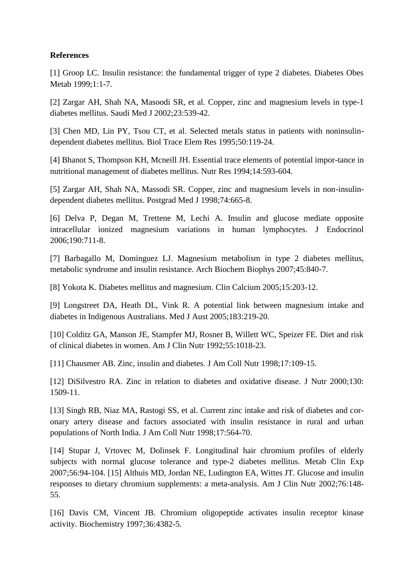### **References**

[1] Groop LC. Insulin resistance: the fundamental trigger of type 2 diabetes. Diabetes Obes Metab 1999;1:1-7.

[2] Zargar AH, Shah NA, Masoodi SR, et al. Copper, zinc and magnesium levels in type-1 diabetes mellitus. Saudi Med J 2002;23:539-42.

[3] Chen MD, Lin PY, Tsou CT, et al. Selected metals status in patients with noninsulindependent diabetes mellitus. Biol Trace Elem Res 1995;50:119-24.

[4] Bhanot S, Thompson KH, Mcneill JH. Essential trace elements of potential impor-tance in nutritional management of diabetes mellitus. Nutr Res 1994;14:593-604.

[5] Zargar AH, Shah NA, Massodi SR. Copper, zinc and magnesium levels in non-insulindependent diabetes mellitus. Postgrad Med J 1998;74:665-8.

[6] Delva P, Degan M, Trettene M, Lechi A. Insulin and glucose mediate opposite intracellular ionized magnesium variations in human lymphocytes. J Endocrinol 2006;190:711-8.

[7] Barbagallo M, Dominguez LJ. Magnesium metabolism in type 2 diabetes mellitus, metabolic syndrome and insulin resistance. Arch Biochem Biophys 2007;45:840-7.

[8] Yokota K. Diabetes mellitus and magnesium. Clin Calcium 2005;15:203-12.

[9] Longstreet DA, Heath DL, Vink R. A potential link between magnesium intake and diabetes in Indigenous Australians. Med J Aust 2005;183:219-20.

[10] Colditz GA, Manson JE, Stampfer MJ, Rosner B, Willett WC, Speizer FE. Diet and risk of clinical diabetes in women. Am J Clin Nutr 1992;55:1018-23.

[11] Chausmer AB. Zinc, insulin and diabetes. J Am Coll Nutr 1998;17:109-15.

[12] DiSilvestro RA. Zinc in relation to diabetes and oxidative disease. J Nutr 2000;130: 1509-11.

[13] Singh RB, Niaz MA, Rastogi SS, et al. Current zinc intake and risk of diabetes and coronary artery disease and factors associated with insulin resistance in rural and urban populations of North India. J Am Coll Nutr 1998;17:564-70.

[14] Stupar J, Vrtovec M, Dolinsek F. Longitudinal hair chromium profiles of elderly subjects with normal glucose tolerance and type-2 diabetes mellitus. Metab Clin Exp 2007;56:94-104. [15] Althuis MD, Jordan NE, Ludington EA, Wittes JT. Glucose and insulin responses to dietary chromium supplements: a meta-analysis. Am J Clin Nutr 2002;76:148- 55.

[16] Davis CM, Vincent JB. Chromium oligopeptide activates insulin receptor kinase activity. Biochemistry 1997;36:4382-5.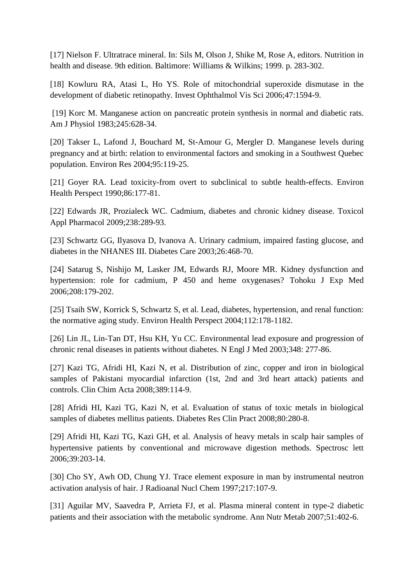[17] Nielson F. Ultratrace mineral. In: Sils M, Olson J, Shike M, Rose A, editors. Nutrition in health and disease. 9th edition. Baltimore: Williams & Wilkins; 1999. p. 283-302.

[18] Kowluru RA, Atasi L, Ho YS. Role of mitochondrial superoxide dismutase in the development of diabetic retinopathy. Invest Ophthalmol Vis Sci 2006;47:1594-9.

[19] Korc M. Manganese action on pancreatic protein synthesis in normal and diabetic rats. Am J Physiol 1983;245:628-34.

[20] Takser L, Lafond J, Bouchard M, St-Amour G, Mergler D. Manganese levels during pregnancy and at birth: relation to environmental factors and smoking in a Southwest Quebec population. Environ Res 2004;95:119-25.

[21] Goyer RA. Lead toxicity-from overt to subclinical to subtle health-effects. Environ Health Perspect 1990;86:177-81.

[22] Edwards JR, Prozialeck WC. Cadmium, diabetes and chronic kidney disease. Toxicol Appl Pharmacol 2009;238:289-93.

[23] Schwartz GG, Ilyasova D, Ivanova A. Urinary cadmium, impaired fasting glucose, and diabetes in the NHANES III. Diabetes Care 2003;26:468-70.

[24] Satarug S, Nishijo M, Lasker JM, Edwards RJ, Moore MR. Kidney dysfunction and hypertension: role for cadmium, P 450 and heme oxygenases? Tohoku J Exp Med 2006;208:179-202.

[25] Tsaih SW, Korrick S, Schwartz S, et al. Lead, diabetes, hypertension, and renal function: the normative aging study. Environ Health Perspect 2004;112:178-1182.

[26] Lin JL, Lin-Tan DT, Hsu KH, Yu CC. Environmental lead exposure and progression of chronic renal diseases in patients without diabetes. N Engl J Med 2003;348: 277-86.

[27] Kazi TG, Afridi HI, Kazi N, et al. Distribution of zinc, copper and iron in biological samples of Pakistani myocardial infarction (1st, 2nd and 3rd heart attack) patients and controls. Clin Chim Acta 2008;389:114-9.

[28] Afridi HI, Kazi TG, Kazi N, et al. Evaluation of status of toxic metals in biological samples of diabetes mellitus patients. Diabetes Res Clin Pract 2008;80:280-8.

[29] Afridi HI, Kazi TG, Kazi GH, et al. Analysis of heavy metals in scalp hair samples of hypertensive patients by conventional and microwave digestion methods. Spectrosc lett 2006;39:203-14.

[30] Cho SY, Awh OD, Chung YJ. Trace element exposure in man by instrumental neutron activation analysis of hair. J Radioanal Nucl Chem 1997;217:107-9.

[31] Aguilar MV, Saavedra P, Arrieta FJ, et al. Plasma mineral content in type-2 diabetic patients and their association with the metabolic syndrome. Ann Nutr Metab 2007;51:402-6.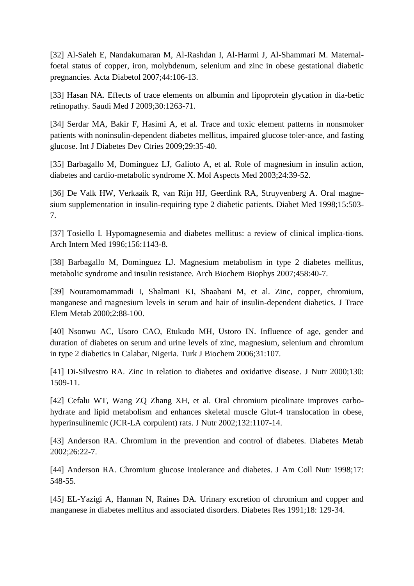[32] Al-Saleh E, Nandakumaran M, Al-Rashdan I, Al-Harmi J, Al-Shammari M. Maternalfoetal status of copper, iron, molybdenum, selenium and zinc in obese gestational diabetic pregnancies. Acta Diabetol 2007;44:106-13.

[33] Hasan NA. Effects of trace elements on albumin and lipoprotein glycation in dia-betic retinopathy. Saudi Med J 2009;30:1263-71.

[34] Serdar MA, Bakir F, Hasimi A, et al. Trace and toxic element patterns in nonsmoker patients with noninsulin-dependent diabetes mellitus, impaired glucose toler-ance, and fasting glucose. Int J Diabetes Dev Ctries 2009;29:35-40.

[35] Barbagallo M, Dominguez LJ, Galioto A, et al. Role of magnesium in insulin action, diabetes and cardio-metabolic syndrome X. Mol Aspects Med 2003;24:39-52.

[36] De Valk HW, Verkaaik R, van Rijn HJ, Geerdink RA, Struyvenberg A. Oral magnesium supplementation in insulin-requiring type 2 diabetic patients. Diabet Med 1998;15:503- 7.

[37] Tosiello L Hypomagnesemia and diabetes mellitus: a review of clinical implica-tions. Arch Intern Med 1996;156:1143-8.

[38] Barbagallo M, Dominguez LJ. Magnesium metabolism in type 2 diabetes mellitus, metabolic syndrome and insulin resistance. Arch Biochem Biophys 2007;458:40-7.

[39] Nouramomammadi I, Shalmani KI, Shaabani M, et al. Zinc, copper, chromium, manganese and magnesium levels in serum and hair of insulin-dependent diabetics. J Trace Elem Metab 2000;2:88-100.

[40] Nsonwu AC, Usoro CAO, Etukudo MH, Ustoro IN. Influence of age, gender and duration of diabetes on serum and urine levels of zinc, magnesium, selenium and chromium in type 2 diabetics in Calabar, Nigeria. Turk J Biochem 2006;31:107.

[41] Di-Silvestro RA. Zinc in relation to diabetes and oxidative disease. J Nutr 2000;130: 1509-11.

[42] Cefalu WT, Wang ZQ Zhang XH, et al. Oral chromium picolinate improves carbohydrate and lipid metabolism and enhances skeletal muscle Glut-4 translocation in obese, hyperinsulinemic (JCR-LA corpulent) rats. J Nutr 2002;132:1107-14.

[43] Anderson RA. Chromium in the prevention and control of diabetes. Diabetes Metab 2002;26:22-7.

[44] Anderson RA. Chromium glucose intolerance and diabetes. J Am Coll Nutr 1998;17: 548-55.

[45] EL-Yazigi A, Hannan N, Raines DA. Urinary excretion of chromium and copper and manganese in diabetes mellitus and associated disorders. Diabetes Res 1991;18: 129-34.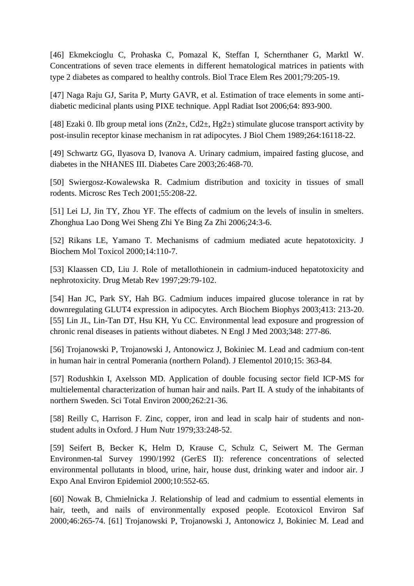[46] Ekmekcioglu C, Prohaska C, Pomazal K, Steffan I, Schernthaner G, Marktl W. Concentrations of seven trace elements in different hematological matrices in patients with type 2 diabetes as compared to healthy controls. Biol Trace Elem Res 2001;79:205-19.

[47] Naga Raju GJ, Sarita P, Murty GAVR, et al. Estimation of trace elements in some antidiabetic medicinal plants using PIXE technique. Appl Radiat Isot 2006;64: 893-900.

[48] Ezaki 0. Ilb group metal ions  $(Zn2\pm, Cd2\pm, Hg2\pm)$  stimulate glucose transport activity by post-insulin receptor kinase mechanism in rat adipocytes. J Biol Chem 1989;264:16118-22.

[49] Schwartz GG, Ilyasova D, Ivanova A. Urinary cadmium, impaired fasting glucose, and diabetes in the NHANES III. Diabetes Care 2003;26:468-70.

[50] Swiergosz-Kowalewska R. Cadmium distribution and toxicity in tissues of small rodents. Microsc Res Tech 2001;55:208-22.

[51] Lei LJ, Jin TY, Zhou YF. The effects of cadmium on the levels of insulin in smelters. Zhonghua Lao Dong Wei Sheng Zhi Ye Bing Za Zhi 2006;24:3-6.

[52] Rikans LE, Yamano T. Mechanisms of cadmium mediated acute hepatotoxicity. J Biochem Mol Toxicol 2000;14:110-7.

[53] Klaassen CD, Liu J. Role of metallothionein in cadmium-induced hepatotoxicity and nephrotoxicity. Drug Metab Rev 1997;29:79-102.

[54] Han JC, Park SY, Hah BG. Cadmium induces impaired glucose tolerance in rat by downregulating GLUT4 expression in adipocytes. Arch Biochem Biophys 2003;413: 213-20. [55] Lin JL, Lin-Tan DT, Hsu KH, Yu CC. Environmental lead exposure and progression of chronic renal diseases in patients without diabetes. N Engl J Med 2003;348: 277-86.

[56] Trojanowski P, Trojanowski J, Antonowicz J, Bokiniec M. Lead and cadmium con-tent in human hair in central Pomerania (northern Poland). J Elementol 2010;15: 363-84.

[57] Rodushkin I, Axelsson MD. Application of double focusing sector field ICP-MS for multielemental characterization of human hair and nails. Part II. A study of the inhabitants of northern Sweden. Sci Total Environ 2000;262:21-36.

[58] Reilly C, Harrison F. Zinc, copper, iron and lead in scalp hair of students and nonstudent adults in Oxford. J Hum Nutr 1979;33:248-52.

[59] Seifert B, Becker K, Helm D, Krause C, Schulz C, Seiwert M. The German Environmen-tal Survey 1990/1992 (GerES II): reference concentrations of selected environmental pollutants in blood, urine, hair, house dust, drinking water and indoor air. J Expo Anal Environ Epidemiol 2000;10:552-65.

[60] Nowak B, Chmielnicka J. Relationship of lead and cadmium to essential elements in hair, teeth, and nails of environmentally exposed people. Ecotoxicol Environ Saf 2000;46:265-74. [61] Trojanowski P, Trojanowski J, Antonowicz J, Bokiniec M. Lead and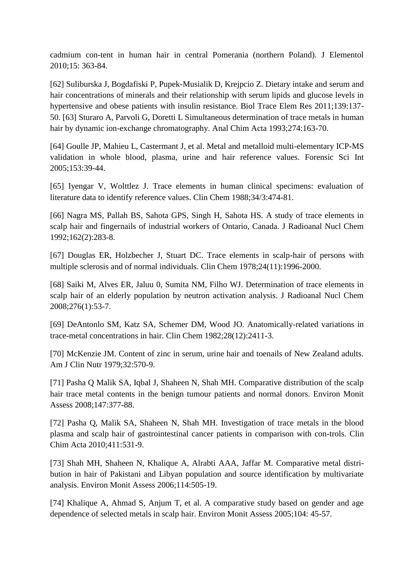cadmium con-tent in human hair in central Pomerania (northern Poland). J Elementol 2010;15: 363-84.

[62] Suliburska J, Bogdafiski P, Pupek-Musialik D, Krejpcio Z. Dietary intake and serum and hair concentrations of minerals and their relationship with serum lipids and glucose levels in hypertensive and obese patients with insulin resistance. Biol Trace Elem Res 2011;139:137- 50. [63] Sturaro A, Parvoli G, Doretti L Simultaneous determination of trace metals in human hair by dynamic ion-exchange chromatography. Anal Chim Acta 1993;274:163-70.

[64] Goulle JP, Mahieu L, Castermant J, et al. Metal and metalloid multi-elementary ICP-MS validation in whole blood, plasma, urine and hair reference values. Forensic Sci Int 2005;153:39-44.

[65] Iyengar V, Wolttlez J. Trace elements in human clinical specimens: evaluation of literature data to identify reference values. Clin Chem 1988;34/3:474-81.

[66] Nagra MS, Pallah BS, Sahota GPS, Singh H, Sahota HS. A study of trace elements in scalp hair and fingernails of industrial workers of Ontario, Canada. J Radioanal Nucl Chem 1992;162(2):283-8.

[67] Douglas ER, Holzbecher J, Stuart DC. Trace elements in scalp-hair of persons with multiple sclerosis and of normal individuals. Clin Chem 1978;24(11):1996-2000.

[68] Saiki M, Alves ER, Jaluu 0, Sumita NM, Filho WJ. Determination of trace elements in scalp hair of an elderly population by neutron activation analysis. J Radioanal Nucl Chem 2008;276(1):53-7.

[69] DeAntonlo SM, Katz SA, Schemer DM, Wood JO. Anatomically-related variations in trace-metal concentrations in hair. Clin Chem 1982;28(12):2411-3.

[70] McKenzie JM. Content of zinc in serum, urine hair and toenails of New Zealand adults. Am J Clin Nutr 1979;32:570-9.

[71] Pasha Q Malik SA, Iqbal J, Shaheen N, Shah MH. Comparative distribution of the scalp hair trace metal contents in the benign tumour patients and normal donors. Environ Monit Assess 2008;147:377-88.

[72] Pasha Q, Malik SA, Shaheen N, Shah MH. Investigation of trace metals in the blood plasma and scalp hair of gastrointestinal cancer patients in comparison with con-trols. Clin Chim Acta 2010;411:531-9.

[73] Shah MH, Shaheen N, Khalique A, Alrabti AAA, Jaffar M. Comparative metal distribution in hair of Pakistani and Libyan population and source identification by multivariate analysis. Environ Monit Assess 2006;114:505-19.

[74] Khalique A, Ahmad S, Anjum T, et al. A comparative study based on gender and age dependence of selected metals in scalp hair. Environ Monit Assess 2005;104: 45-57.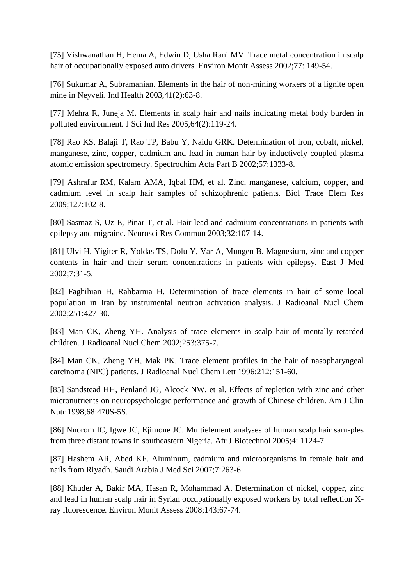[75] Vishwanathan H, Hema A, Edwin D, Usha Rani MV. Trace metal concentration in scalp hair of occupationally exposed auto drivers. Environ Monit Assess 2002;77: 149-54.

[76] Sukumar A, Subramanian. Elements in the hair of non-mining workers of a lignite open mine in Neyveli. Ind Health 2003,41(2):63-8.

[77] Mehra R, Juneja M. Elements in scalp hair and nails indicating metal body burden in polluted environment. J Sci Ind Res 2005,64(2):119-24.

[78] Rao KS, Balaji T, Rao TP, Babu Y, Naidu GRK. Determination of iron, cobalt, nickel, manganese, zinc, copper, cadmium and lead in human hair by inductively coupled plasma atomic emission spectrometry. Spectrochim Acta Part B 2002;57:1333-8.

[79] Ashrafur RM, Kalam AMA, Iqbal HM, et al. Zinc, manganese, calcium, copper, and cadmium level in scalp hair samples of schizophrenic patients. Biol Trace Elem Res 2009;127:102-8.

[80] Sasmaz S, Uz E, Pinar T, et al. Hair lead and cadmium concentrations in patients with epilepsy and migraine. Neurosci Res Commun 2003;32:107-14.

[81] Ulvi H, Yigiter R, Yoldas TS, Dolu Y, Var A, Mungen B. Magnesium, zinc and copper contents in hair and their serum concentrations in patients with epilepsy. East J Med 2002;7:31-5.

[82] Faghihian H, Rahbarnia H. Determination of trace elements in hair of some local population in Iran by instrumental neutron activation analysis. J Radioanal Nucl Chem 2002;251:427-30.

[83] Man CK, Zheng YH. Analysis of trace elements in scalp hair of mentally retarded children. J Radioanal Nucl Chem 2002;253:375-7.

[84] Man CK, Zheng YH, Mak PK. Trace element profiles in the hair of nasopharyngeal carcinoma (NPC) patients. J Radioanal Nucl Chem Lett 1996;212:151-60.

[85] Sandstead HH, Penland JG, Alcock NW, et al. Effects of repletion with zinc and other micronutrients on neuropsychologic performance and growth of Chinese children. Am J Clin Nutr 1998;68:470S-5S.

[86] Nnorom IC, Igwe JC, Ejimone JC. Multielement analyses of human scalp hair sam-ples from three distant towns in southeastern Nigeria. Afr J Biotechnol 2005;4: 1124-7.

[87] Hashem AR, Abed KF. Aluminum, cadmium and microorganisms in female hair and nails from Riyadh. Saudi Arabia J Med Sci 2007;7:263-6.

[88] Khuder A, Bakir MA, Hasan R, Mohammad A. Determination of nickel, copper, zinc and lead in human scalp hair in Syrian occupationally exposed workers by total reflection Xray fluorescence. Environ Monit Assess 2008;143:67-74.